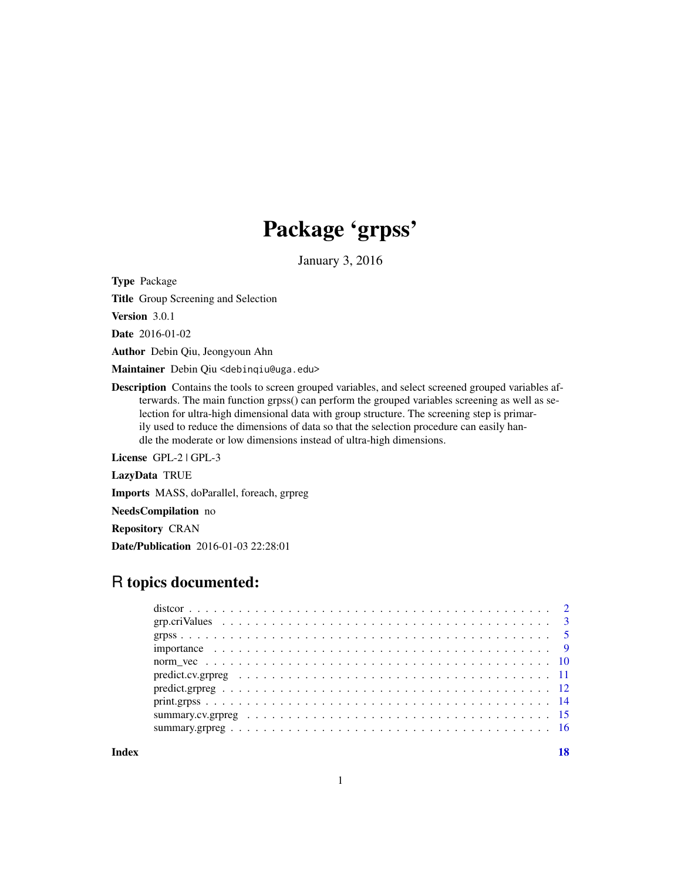## Package 'grpss'

January 3, 2016

<span id="page-0-0"></span>Type Package

Title Group Screening and Selection

Version 3.0.1

Date 2016-01-02

Author Debin Qiu, Jeongyoun Ahn

Maintainer Debin Qiu <debinqiu@uga.edu>

Description Contains the tools to screen grouped variables, and select screened grouped variables afterwards. The main function grpss() can perform the grouped variables screening as well as selection for ultra-high dimensional data with group structure. The screening step is primarily used to reduce the dimensions of data so that the selection procedure can easily handle the moderate or low dimensions instead of ultra-high dimensions.

License GPL-2 | GPL-3

LazyData TRUE

Imports MASS, doParallel, foreach, grpreg

NeedsCompilation no

Repository CRAN

Date/Publication 2016-01-03 22:28:01

### R topics documented:

**Index** 2008 **[18](#page-17-0)**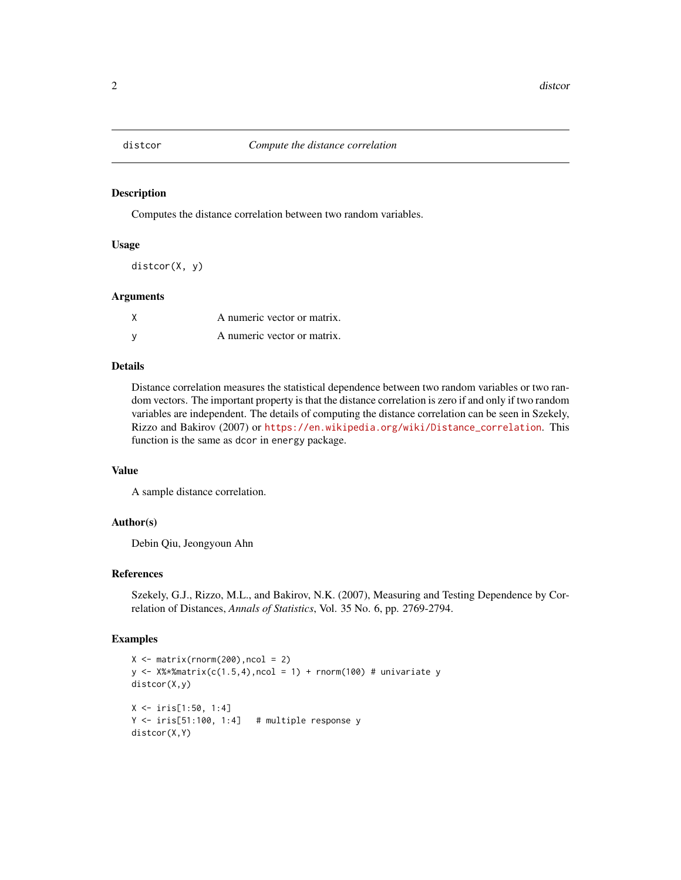<span id="page-1-0"></span>

Computes the distance correlation between two random variables.

#### Usage

distcor(X, y)

#### Arguments

| A numeric vector or matrix. |
|-----------------------------|
| A numeric vector or matrix. |

#### Details

Distance correlation measures the statistical dependence between two random variables or two random vectors. The important property is that the distance correlation is zero if and only if two random variables are independent. The details of computing the distance correlation can be seen in Szekely, Rizzo and Bakirov (2007) or [https://en.wikipedia.org/wiki/Distance\\_correlation](https://en.wikipedia.org/wiki/Distance_correlation). This function is the same as dcor in energy package.

#### Value

A sample distance correlation.

#### Author(s)

Debin Qiu, Jeongyoun Ahn

#### References

Szekely, G.J., Rizzo, M.L., and Bakirov, N.K. (2007), Measuring and Testing Dependence by Correlation of Distances, *Annals of Statistics*, Vol. 35 No. 6, pp. 2769-2794.

```
X \leftarrow matrix(rnorm(200), ncol = 2)y \leftarrow X%*%matrix(c(1.5,4),ncol = 1) + rnorm(100) # univariate y
distcor(X,y)
X <- iris[1:50, 1:4]
Y <- iris[51:100, 1:4] # multiple response y
distcor(X,Y)
```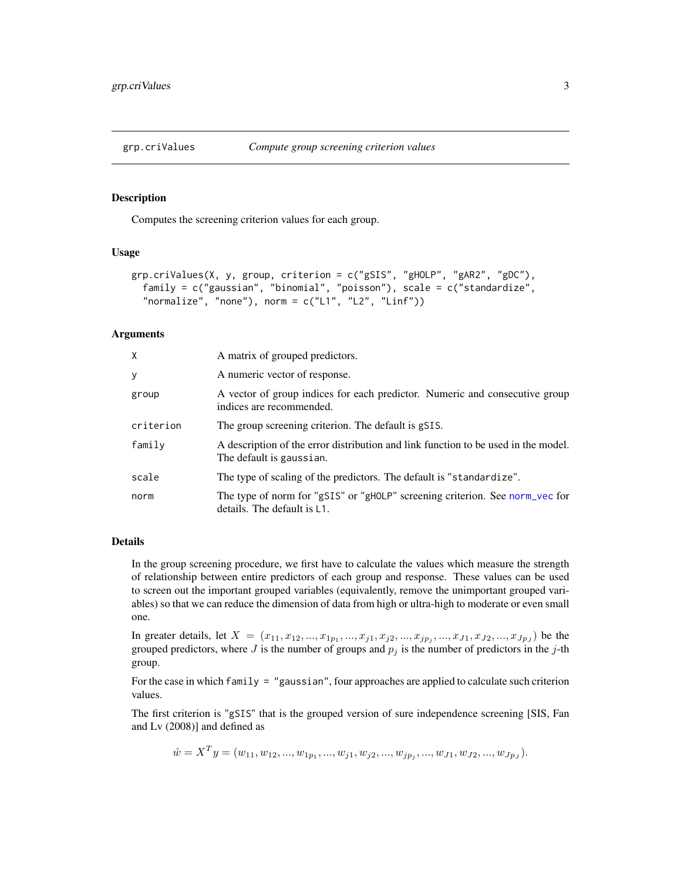<span id="page-2-1"></span><span id="page-2-0"></span>

Computes the screening criterion values for each group.

#### Usage

```
grp.criValues(X, y, group, criterion = c("gSIS", "gHOLP", "gAR2", "gDC"),
  family = c("gaussian", "binomial", "poisson"), scale = c("standardize",
  "normalize", "none"), norm = c("L1", "L2", "Linf"))
```
#### Arguments

| X         | A matrix of grouped predictors.                                                                                |  |
|-----------|----------------------------------------------------------------------------------------------------------------|--|
| У         | A numeric vector of response.                                                                                  |  |
| group     | A vector of group indices for each predictor. Numeric and consecutive group<br>indices are recommended.        |  |
| criterion | The group screening criterion. The default is gSIS.                                                            |  |
| family    | A description of the error distribution and link function to be used in the model.<br>The default is gaussian. |  |
| scale     | The type of scaling of the predictors. The default is "standardize".                                           |  |
| norm      | The type of norm for "gSIS" or "gHOLP" screening criterion. See norm_vec for<br>details. The default is L1.    |  |

#### Details

In the group screening procedure, we first have to calculate the values which measure the strength of relationship between entire predictors of each group and response. These values can be used to screen out the important grouped variables (equivalently, remove the unimportant grouped variables) so that we can reduce the dimension of data from high or ultra-high to moderate or even small one.

In greater details, let  $X = (x_{11}, x_{12}, ..., x_{1p_1}, ..., x_{j1}, x_{j2}, ..., x_{jp_j}, ..., x_{J1}, x_{J2}, ..., x_{Jp_J})$  be the grouped predictors, where  $J$  is the number of groups and  $p_j$  is the number of predictors in the j-th group.

For the case in which family  $=$  "gaussian", four approaches are applied to calculate such criterion values.

The first criterion is "gSIS" that is the grouped version of sure independence screening [SIS, Fan and Lv (2008)] and defined as

 $\hat{w} = X^T y = (w_{11}, w_{12}, ..., w_{1p_1}, ..., w_{j1}, w_{j2}, ..., w_{jp_j}, ..., w_{J1}, w_{J2}, ..., w_{Jp_J}).$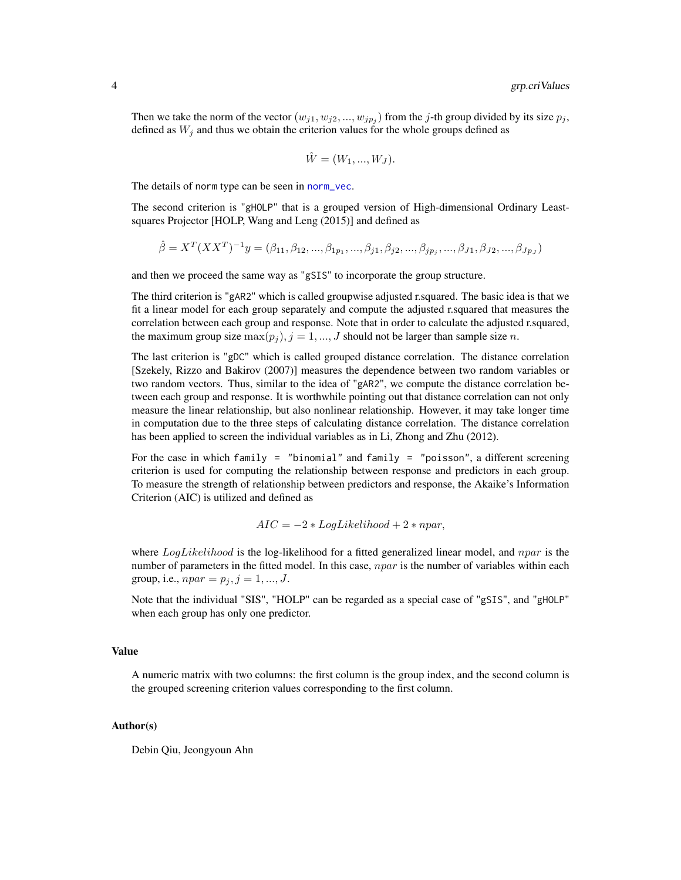<span id="page-3-0"></span>Then we take the norm of the vector  $(w_{j1}, w_{j2}, ..., w_{jp_j})$  from the j-th group divided by its size  $p_j$ , defined as  $W_i$  and thus we obtain the criterion values for the whole groups defined as

$$
\hat{W} = (W_1, ..., W_J).
$$

The details of norm type can be seen in [norm\\_vec](#page-9-1).

The second criterion is "gHOLP" that is a grouped version of High-dimensional Ordinary Leastsquares Projector [HOLP, Wang and Leng (2015)] and defined as

$$
\hat{\beta} = X^T (XX^T)^{-1} y = (\beta_{11}, \beta_{12}, ..., \beta_{1p_1}, ..., \beta_{j1}, \beta_{j2}, ..., \beta_{jp_j}, ..., \beta_{J1}, \beta_{J2}, ..., \beta_{Jp_J})
$$

and then we proceed the same way as "gSIS" to incorporate the group structure.

The third criterion is "gAR2" which is called groupwise adjusted r.squared. The basic idea is that we fit a linear model for each group separately and compute the adjusted r.squared that measures the correlation between each group and response. Note that in order to calculate the adjusted r.squared, the maximum group size  $\max(p_i)$ ,  $j = 1, ..., J$  should not be larger than sample size n.

The last criterion is "gDC" which is called grouped distance correlation. The distance correlation [Szekely, Rizzo and Bakirov (2007)] measures the dependence between two random variables or two random vectors. Thus, similar to the idea of "gAR2", we compute the distance correlation between each group and response. It is worthwhile pointing out that distance correlation can not only measure the linear relationship, but also nonlinear relationship. However, it may take longer time in computation due to the three steps of calculating distance correlation. The distance correlation has been applied to screen the individual variables as in Li, Zhong and Zhu (2012).

For the case in which family = "binomial" and family = "poisson", a different screening criterion is used for computing the relationship between response and predictors in each group. To measure the strength of relationship between predictors and response, the Akaike's Information Criterion (AIC) is utilized and defined as

$$
AIC = -2 * LogLikelihood + 2 * npar,
$$

where  $LogLikelihood$  is the log-likelihood for a fitted generalized linear model, and npar is the number of parameters in the fitted model. In this case,  $npar$  is the number of variables within each group, i.e.,  $npar = p_j$ ,  $j = 1, ..., J$ .

Note that the individual "SIS", "HOLP" can be regarded as a special case of "gSIS", and "gHOLP" when each group has only one predictor.

#### Value

A numeric matrix with two columns: the first column is the group index, and the second column is the grouped screening criterion values corresponding to the first column.

#### Author(s)

Debin Qiu, Jeongyoun Ahn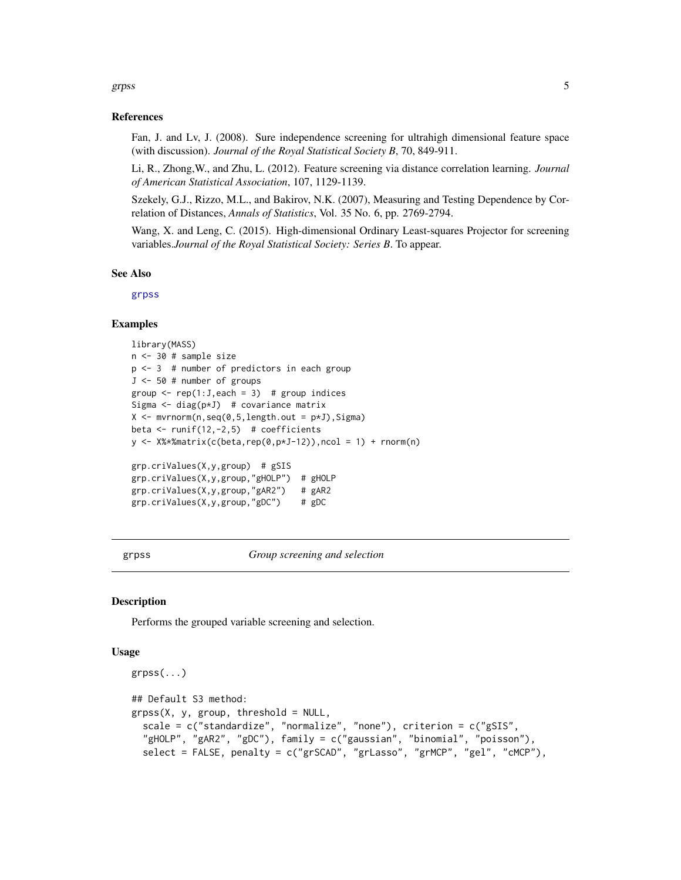#### <span id="page-4-0"></span>grpss 5

#### References

Fan, J. and Lv, J. (2008). Sure independence screening for ultrahigh dimensional feature space (with discussion). *Journal of the Royal Statistical Society B*, 70, 849-911.

Li, R., Zhong,W., and Zhu, L. (2012). Feature screening via distance correlation learning. *Journal of American Statistical Association*, 107, 1129-1139.

Szekely, G.J., Rizzo, M.L., and Bakirov, N.K. (2007), Measuring and Testing Dependence by Correlation of Distances, *Annals of Statistics*, Vol. 35 No. 6, pp. 2769-2794.

Wang, X. and Leng, C. (2015). High-dimensional Ordinary Least-squares Projector for screening variables.*Journal of the Royal Statistical Society: Series B*. To appear.

#### See Also

[grpss](#page-4-1)

#### Examples

```
library(MASS)
n <- 30 # sample size
p \le -3 # number of predictors in each group
J <- 50 # number of groups
group \leq rep(1:J,each = 3) # group indices
Sigma \leq diag(p*J) # covariance matrix
X \leq -\text{mvrnorm}(n, \text{seq}(0, 5, \text{length.out} = p \star J), \text{Sigma})beta \le runif(12,-2,5) # coefficients
y \leq X%*%matrix(c(beta,rep(0,p*J-12)),ncol = 1) + rnorm(n)
grp.criValues(X,y,group) # gSIS
grp.criValues(X,y,group,"gHOLP") # gHOLP
grp.criValues(X,y,group,"gAR2") # gAR2
grp.criValues(X,y,group,"gDC") # gDC
```
<span id="page-4-1"></span>grpss *Group screening and selection*

#### **Description**

Performs the grouped variable screening and selection.

#### Usage

```
grpss(...)
## Default S3 method:
grpss(X, y, group, threshold = NULL,scale = c("standardize", "normalize", "none"), criterion = c("gSIS",
  "gHOLP", "gAR2", "gDC"), family = c("gaussian", "binomial", "poisson"),
  select = FALSE, penalty = c("grSCAD", "grLasso", "grMCP", "gel", "cMCP"),
```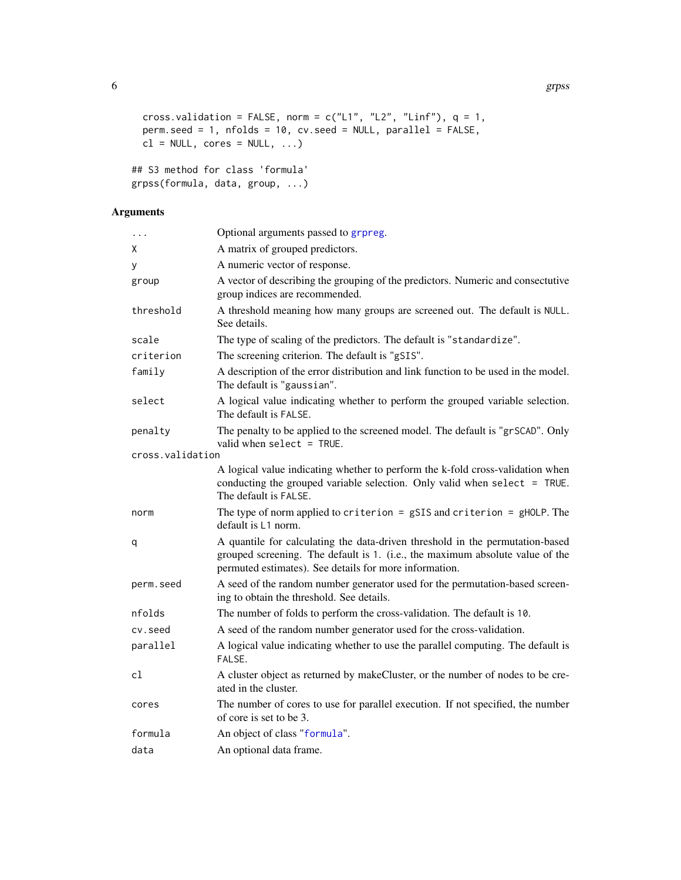```
6 grpss and the set of the set of the set of the set of the set of the set of the set of the set of the set of the set of the set of the set of the set of the set of the set of the set of the set of the set of the set of t
```

```
cross.validation = FALSE, norm = c("L1", "L2", "Linf"), q = 1,perm.seed = 1, nfolds = 10, cv.seed = NULL, parallel = FALSE,
cl = NULL, cores = NULL, ...)
```

```
## S3 method for class 'formula'
grpss(formula, data, group, ...)
```
#### Arguments

| $\cdots$         | Optional arguments passed to grpreg.                                                                                                                                                                                     |
|------------------|--------------------------------------------------------------------------------------------------------------------------------------------------------------------------------------------------------------------------|
| χ                | A matrix of grouped predictors.                                                                                                                                                                                          |
| у                | A numeric vector of response.                                                                                                                                                                                            |
| group            | A vector of describing the grouping of the predictors. Numeric and consectutive<br>group indices are recommended.                                                                                                        |
| threshold        | A threshold meaning how many groups are screened out. The default is NULL.<br>See details.                                                                                                                               |
| scale            | The type of scaling of the predictors. The default is "standardize".                                                                                                                                                     |
| criterion        | The screening criterion. The default is "gSIS".                                                                                                                                                                          |
| family           | A description of the error distribution and link function to be used in the model.<br>The default is "gaussian".                                                                                                         |
| select           | A logical value indicating whether to perform the grouped variable selection.<br>The default is FALSE.                                                                                                                   |
| penalty          | The penalty to be applied to the screened model. The default is "grSCAD". Only<br>valid when $select = TRUE$ .                                                                                                           |
| cross.validation |                                                                                                                                                                                                                          |
|                  | A logical value indicating whether to perform the k-fold cross-validation when<br>conducting the grouped variable selection. Only valid when select = TRUE.<br>The default is FALSE.                                     |
| norm             | The type of norm applied to criterion = $gSIS$ and criterion = $gHOLP$ . The<br>default is L1 norm.                                                                                                                      |
| q                | A quantile for calculating the data-driven threshold in the permutation-based<br>grouped screening. The default is 1. (i.e., the maximum absolute value of the<br>permuted estimates). See details for more information. |
| perm.seed        | A seed of the random number generator used for the permutation-based screen-<br>ing to obtain the threshold. See details.                                                                                                |
| nfolds           | The number of folds to perform the cross-validation. The default is 10.                                                                                                                                                  |
| cv.seed          | A seed of the random number generator used for the cross-validation.                                                                                                                                                     |
| parallel         | A logical value indicating whether to use the parallel computing. The default is<br>FALSE.                                                                                                                               |
| cl               | A cluster object as returned by makeCluster, or the number of nodes to be cre-<br>ated in the cluster.                                                                                                                   |
| cores            | The number of cores to use for parallel execution. If not specified, the number<br>of core is set to be 3.                                                                                                               |
| formula          | An object of class "formula".                                                                                                                                                                                            |
| data             | An optional data frame.                                                                                                                                                                                                  |

<span id="page-5-0"></span>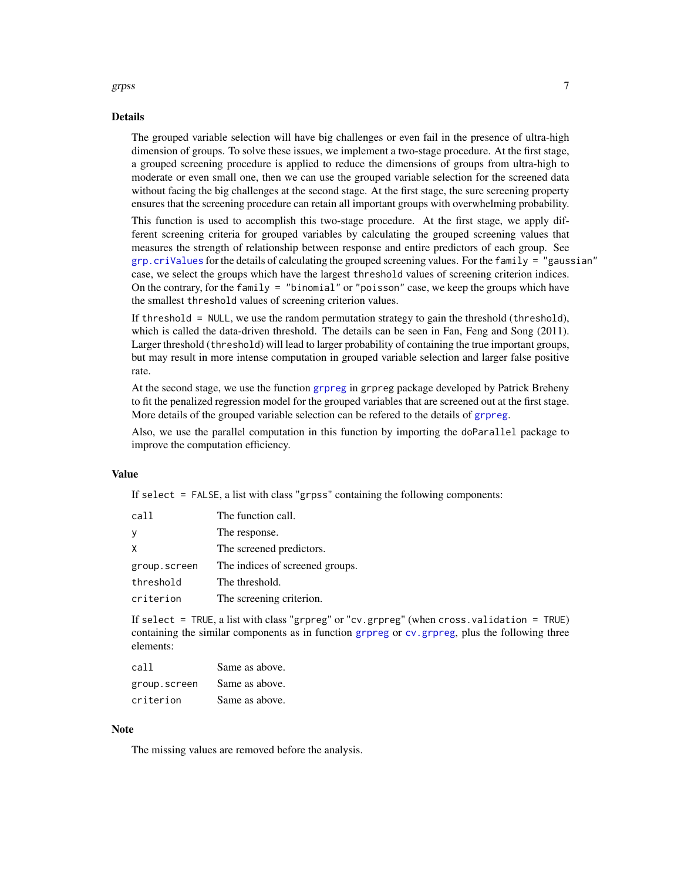#### <span id="page-6-0"></span>grpss and the contract of the contract of the contract of the contract of the contract of the contract of the contract of the contract of the contract of the contract of the contract of the contract of the contract of the

#### Details

The grouped variable selection will have big challenges or even fail in the presence of ultra-high dimension of groups. To solve these issues, we implement a two-stage procedure. At the first stage, a grouped screening procedure is applied to reduce the dimensions of groups from ultra-high to moderate or even small one, then we can use the grouped variable selection for the screened data without facing the big challenges at the second stage. At the first stage, the sure screening property ensures that the screening procedure can retain all important groups with overwhelming probability.

This function is used to accomplish this two-stage procedure. At the first stage, we apply different screening criteria for grouped variables by calculating the grouped screening values that measures the strength of relationship between response and entire predictors of each group. See  $grp.criValues$  for the details of calculating the grouped screening values. For the family = "gaussian" case, we select the groups which have the largest threshold values of screening criterion indices. On the contrary, for the family  $=$  "binomial" or "poisson" case, we keep the groups which have the smallest threshold values of screening criterion values.

If threshold = NULL, we use the random permutation strategy to gain the threshold (threshold), which is called the data-driven threshold. The details can be seen in Fan, Feng and Song (2011). Larger threshold (threshold) will lead to larger probability of containing the true important groups, but may result in more intense computation in grouped variable selection and larger false positive rate.

At the second stage, we use the function [grpreg](#page-0-0) in grpreg package developed by Patrick Breheny to fit the penalized regression model for the grouped variables that are screened out at the first stage. More details of the grouped variable selection can be refered to the details of [grpreg](#page-0-0).

Also, we use the parallel computation in this function by importing the doParallel package to improve the computation efficiency.

#### Value

If select = FALSE, a list with class "grpss" containing the following components:

| call         | The function call.              |
|--------------|---------------------------------|
| у            | The response.                   |
| X            | The screened predictors.        |
| group.screen | The indices of screened groups. |
| threshold    | The threshold.                  |
| criterion    | The screening criterion.        |

If select = TRUE, a list with class "grpreg" or "cv.grpreg" (when cross.validation = TRUE) containing the similar components as in function [grpreg](#page-0-0) or [cv.grpreg](#page-0-0), plus the following three elements:

| call         | Same as above. |
|--------------|----------------|
| group.screen | Same as above. |
| criterion    | Same as above. |

#### **Note**

The missing values are removed before the analysis.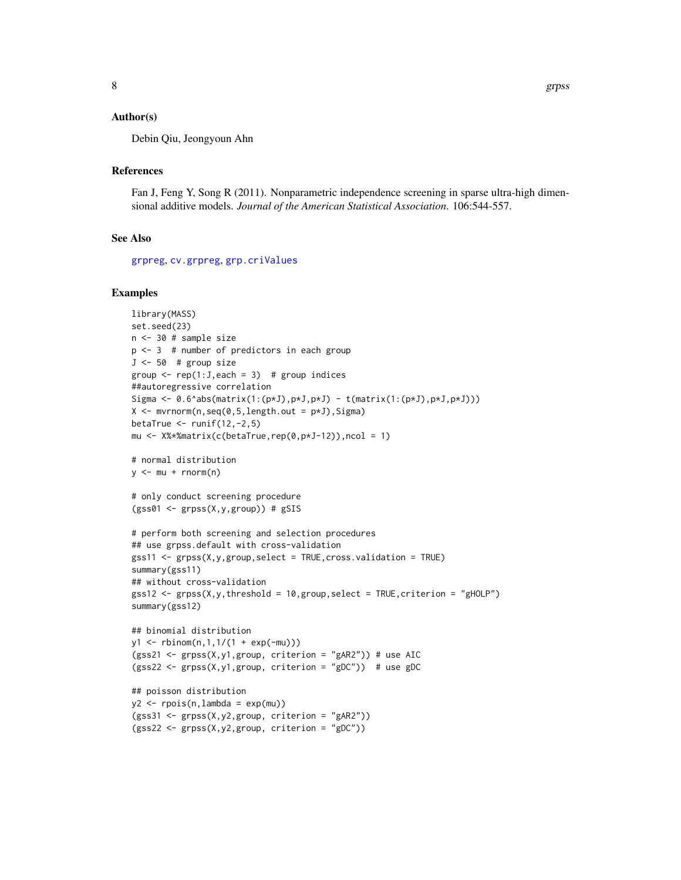<span id="page-7-0"></span>Debin Qiu, Jeongyoun Ahn

#### References

Fan J, Feng Y, Song R (2011). Nonparametric independence screening in sparse ultra-high dimensional additive models. *Journal of the American Statistical Association*. 106:544-557.

#### See Also

[grpreg](#page-0-0), [cv.grpreg](#page-0-0), [grp.criValues](#page-2-1)

```
library(MASS)
set.seed(23)
n <- 30 # sample size
p <- 3 # number of predictors in each group
J \le -50 # group size
group \leq rep(1:J,each = 3) # group indices
##autoregressive correlation
Sigma <- 0.6^abs(matrix(1:(p*J),p*J,p*J) - t(matrix(1:(p*J),p*J,p*J)))
X \leq -m \text{wronom}(n, \text{seq}(0, 5, \text{length.out} = p \star J), \text{Sigma})betaTrue \le- runif(12,-2,5)
mu <- X%*%matrix(c(betaTrue,rep(0,p*J-12)),ncol = 1)
# normal distribution
y \le -mu + rnorm(n)# only conduct screening procedure
(gss@1 \leftarrow grpss(X,y,group)) # gSIS# perform both screening and selection procedures
## use grpss.default with cross-validation
gss11 <- grpss(X,y,group,select = TRUE,cross.validation = TRUE)
summary(gss11)
## without cross-validation
gss12 \leq grys(X,y, threshold = 10, group, select = TRUE, criterion = "gHOLP")summary(gss12)
## binomial distribution
y1 <- rbinom(n,1,1/(1 + exp(-mu)))
(gss21 <- grpss(X,y1,group, criterion = "gAR2")) # use AIC
(gss22 <- grpss(X,y1,group, criterion = "gDC")) # use gDC
## poisson distribution
y2 \leq - \text{rpois}(n, \text{lambda} = \exp(\text{mu}))(gss31 <- grpss(X,y2,group, criterion = "gAR2"))
(gss22 <- grpss(X,y2,group, criterion = "gDC"))
```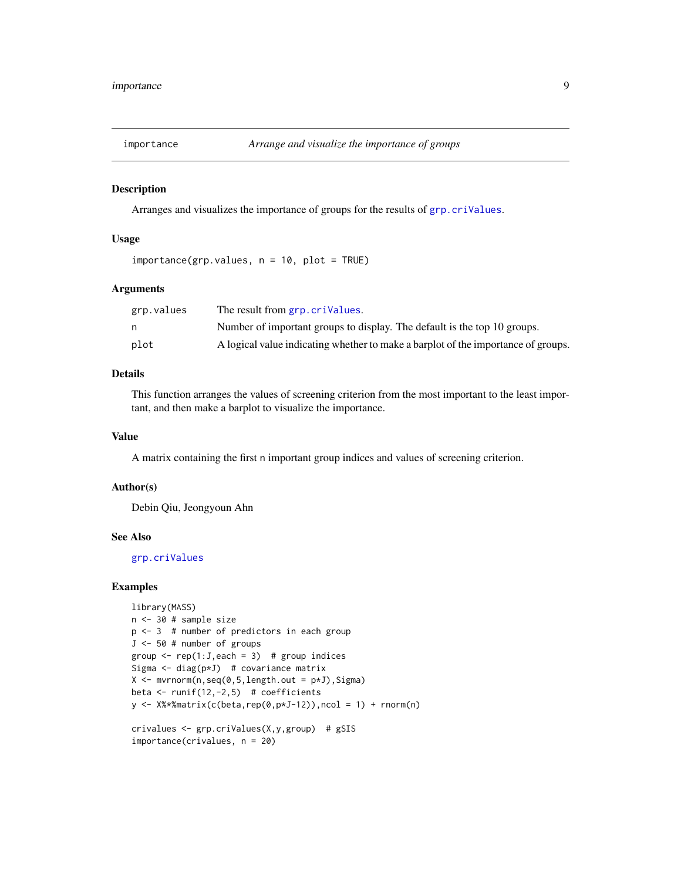<span id="page-8-0"></span>

Arranges and visualizes the importance of groups for the results of [grp.criValues](#page-2-1).

#### Usage

```
importance(grp.values, n = 10, plot = TRUE)
```
#### Arguments

| grp.values | The result from grp. crivalues.                                                   |
|------------|-----------------------------------------------------------------------------------|
|            | Number of important groups to display. The default is the top 10 groups.          |
| plot       | A logical value indicating whether to make a barplot of the importance of groups. |

#### Details

This function arranges the values of screening criterion from the most important to the least important, and then make a barplot to visualize the importance.

#### Value

A matrix containing the first n important group indices and values of screening criterion.

#### Author(s)

Debin Qiu, Jeongyoun Ahn

#### See Also

[grp.criValues](#page-2-1)

```
library(MASS)
n <- 30 # sample size
p <- 3 # number of predictors in each group
J <- 50 # number of groups
group \leq rep(1:J,each = 3) # group indices
Sigma \leq diag(p*J) # covariance matrix
X \leq -m \text{wronom}(n, \text{seq}(0, 5, \text{length.out} = p \star J), \text{Sigma})beta \le runif(12,-2,5) # coefficients
y \leq X%*%matrix(c(beta,rep(0,p*J-12)),ncol = 1) + rnorm(n)
crivalues <- grp.criValues(X,y,group) # gSIS
importance(crivalues, n = 20)
```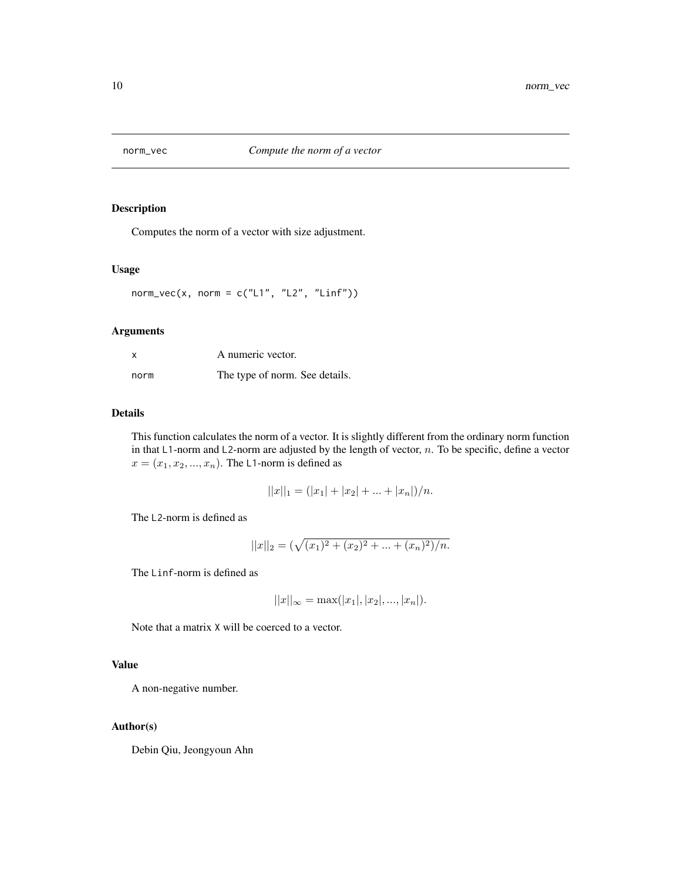<span id="page-9-1"></span><span id="page-9-0"></span>

Computes the norm of a vector with size adjustment.

#### Usage

 $norm\_vec(x, norm = c("L1", "L2", "Linf"))$ 

#### Arguments

| X    | A numeric vector.              |  |
|------|--------------------------------|--|
| norm | The type of norm. See details. |  |

#### Details

This function calculates the norm of a vector. It is slightly different from the ordinary norm function in that  $L1$ -norm and  $L2$ -norm are adjusted by the length of vector, n. To be specific, define a vector  $x = (x_1, x_2, ..., x_n)$ . The L1-norm is defined as

$$
||x||_1 = (|x_1| + |x_2| + \dots + |x_n|)/n.
$$

The L2-norm is defined as

$$
||x||_2 = (\sqrt{(x_1)^2 + (x_2)^2 + \dots + (x_n)^2})/n.
$$

The Linf-norm is defined as

$$
||x||_{\infty} = \max(|x_1|, |x_2|, ..., |x_n|).
$$

Note that a matrix X will be coerced to a vector.

#### Value

A non-negative number.

#### Author(s)

Debin Qiu, Jeongyoun Ahn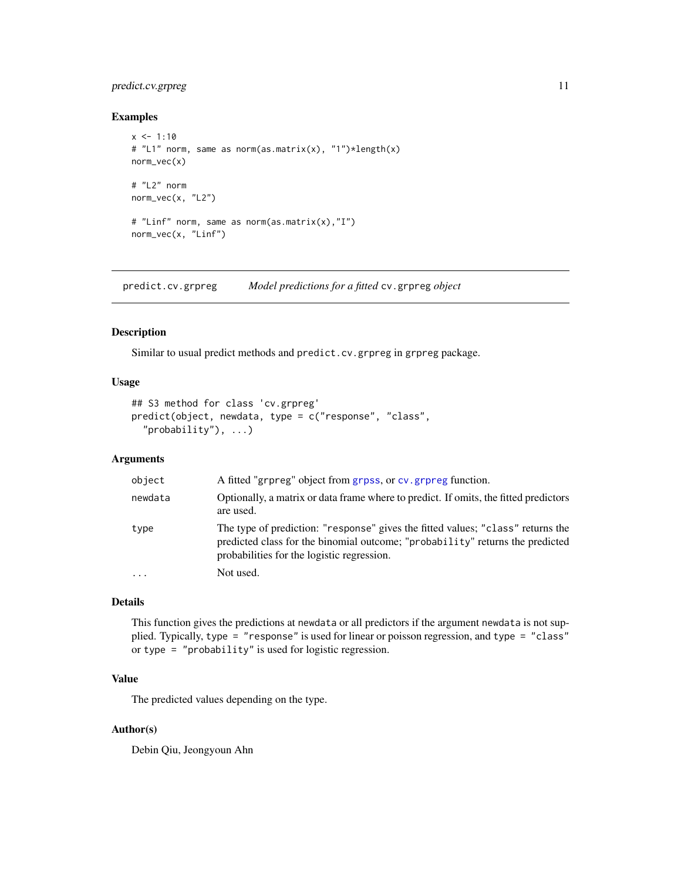#### <span id="page-10-0"></span>predict.cv.grpreg 11

#### Examples

```
x \le -1:10# "L1" norm, same as norm(as.matrix(x), "1")*length(x)
norm_vec(x)
# "L2" norm
norm_vec(x, "L2")
# "Linf" norm, same as norm(as.matrix(x),"I")
norm_vec(x, "Linf")
```
predict.cv.grpreg *Model predictions for a fitted* cv.grpreg *object*

#### Description

Similar to usual predict methods and predict.cv.grpreg in grpreg package.

#### Usage

```
## S3 method for class 'cv.grpreg'
predict(object, newdata, type = c("response", "class",
  "probability"), ...)
```
#### Arguments

| object    | A fitted "grpreg" object from grpss, or cv. grpreg function.                                                                                                                                                   |  |
|-----------|----------------------------------------------------------------------------------------------------------------------------------------------------------------------------------------------------------------|--|
| newdata   | Optionally, a matrix or data frame where to predict. If omits, the fitted predictors<br>are used.                                                                                                              |  |
| type      | The type of prediction: "response" gives the fitted values; "class" returns the<br>predicted class for the binomial outcome: "probability" returns the predicted<br>probabilities for the logistic regression. |  |
| $\ddotsc$ | Not used.                                                                                                                                                                                                      |  |

#### Details

This function gives the predictions at newdata or all predictors if the argument newdata is not supplied. Typically, type = "response" is used for linear or poisson regression, and type = "class" or type = "probability" is used for logistic regression.

#### Value

The predicted values depending on the type.

#### Author(s)

Debin Qiu, Jeongyoun Ahn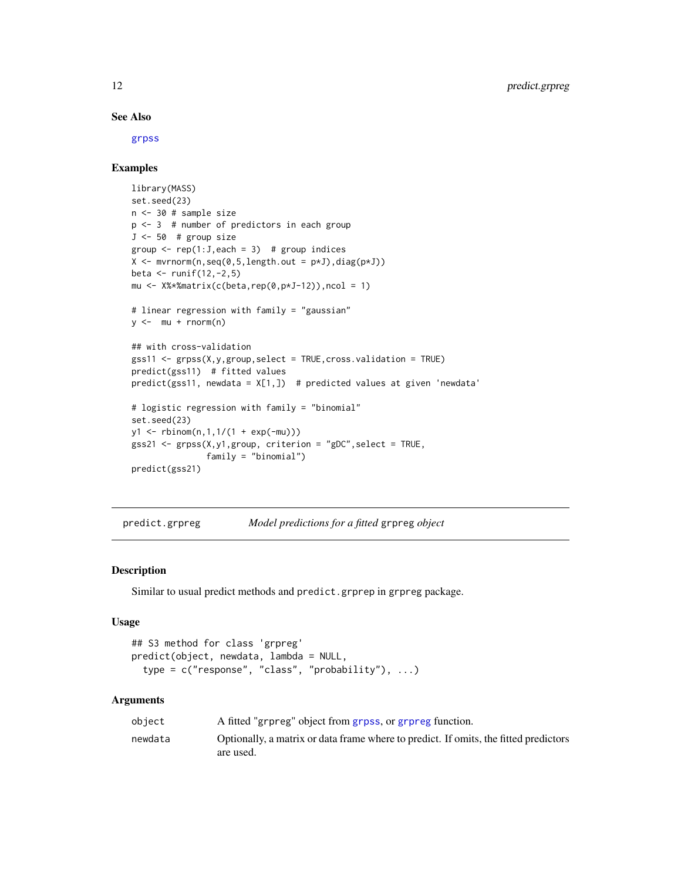#### See Also

[grpss](#page-4-1)

#### Examples

```
library(MASS)
set.seed(23)
n <- 30 # sample size
p <- 3 # number of predictors in each group
J \le -50 # group size
group \leq rep(1:J,each = 3) # group indices
X \leftarrow \text{mvrnorm}(n, \text{seq}(0, 5, \text{length.out} = p \star J), \text{diag}(p \star J))beta \le runif(12,-2,5)
mu <- X%*%matrix(c(beta,rep(0,p*J-12)),ncol = 1)
# linear regression with family = "gaussian"
y \leftarrow mu + rnorm(n)## with cross-validation
gss11 <- grpss(X,y,group,select = TRUE,cross.validation = TRUE)
predict(gss11) # fitted values
predict(gss11, newdata = X[1,]) # predicted values at given 'newdata'
# logistic regression with family = "binomial"
set.seed(23)
y1 <- rbinom(n,1,1/(1 + exp(-mu)))
gss21 <- grpss(X,y1,group, criterion = "gDC",select = TRUE,
                family = "binomial")
predict(gss21)
```
predict.grpreg *Model predictions for a fitted* grpreg *object*

#### Description

Similar to usual predict methods and predict.grprep in grpreg package.

#### Usage

```
## S3 method for class 'grpreg'
predict(object, newdata, lambda = NULL,
  type = c("response", "class", "probability"), ...)
```
#### Arguments

| object  | A fitted "grpreg" object from grpss, or grpreg function.                                          |
|---------|---------------------------------------------------------------------------------------------------|
| newdata | Optionally, a matrix or data frame where to predict. If omits, the fitted predictors<br>are used. |

<span id="page-11-0"></span>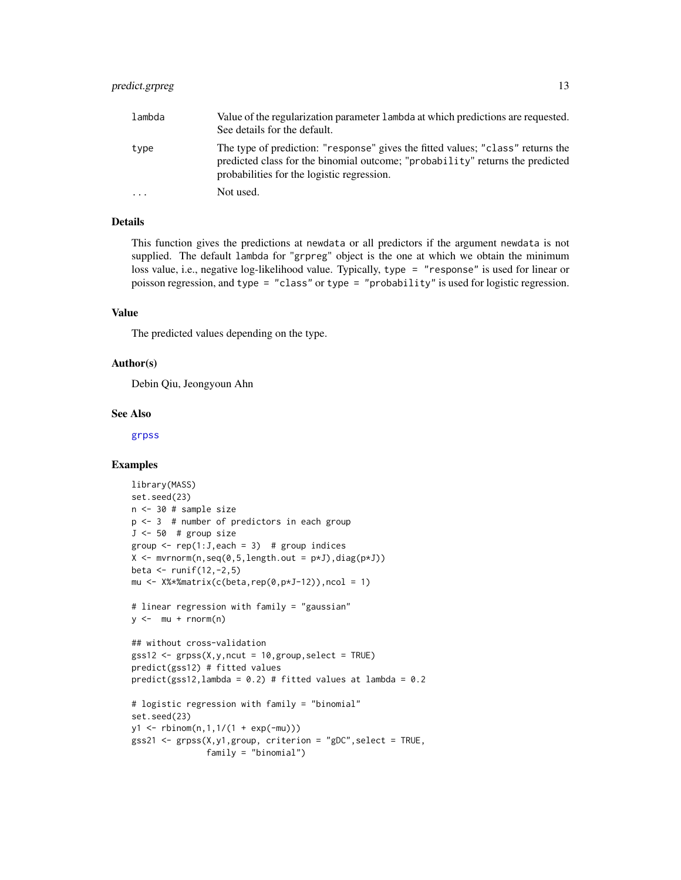| lambda                  | Value of the regularization parameter lambda at which predictions are requested.<br>See details for the default.                                                                                               |
|-------------------------|----------------------------------------------------------------------------------------------------------------------------------------------------------------------------------------------------------------|
| type                    | The type of prediction: "response" gives the fitted values; "class" returns the<br>predicted class for the binomial outcome; "probability" returns the predicted<br>probabilities for the logistic regression. |
| $\cdot$ $\cdot$ $\cdot$ | Not used.                                                                                                                                                                                                      |

#### Details

This function gives the predictions at newdata or all predictors if the argument newdata is not supplied. The default lambda for "grpreg" object is the one at which we obtain the minimum loss value, i.e., negative log-likelihood value. Typically, type = "response" is used for linear or poisson regression, and type = "class" or type = "probability" is used for logistic regression.

#### Value

The predicted values depending on the type.

#### Author(s)

Debin Qiu, Jeongyoun Ahn

#### See Also

[grpss](#page-4-1)

```
library(MASS)
set.seed(23)
n <- 30 # sample size
p <- 3 # number of predictors in each group
J \le -50 # group size
group \leq rep(1:J, each = 3) # group indices
X \leftarrow \text{mvrnorm}(n, \text{seq}(0, 5, \text{length.out} = p \star J), \text{diag}(p \star J))beta <- runif(12,-2,5)
mu \leq X%*%matrix(c(beta,rep(0,p*J-12)),ncol = 1)
# linear regression with family = "gaussian"
y \leftarrow mu + rnorm(n)## without cross-validation
gss12 \leq gsys(X,y,ncut = 10,group,select = TRUE)predict(gss12) # fitted values
predict(gss12,lambda = 0.2) # fitted values at lambda = 0.2# logistic regression with family = "binomial"
set.seed(23)
y1 \le - \text{rbinom}(n, 1, 1/(1 + \exp(-mu)))gss21 \leq gsys(X,y1,group, criterion = "gDC", select = TRUE,family = "binomial")
```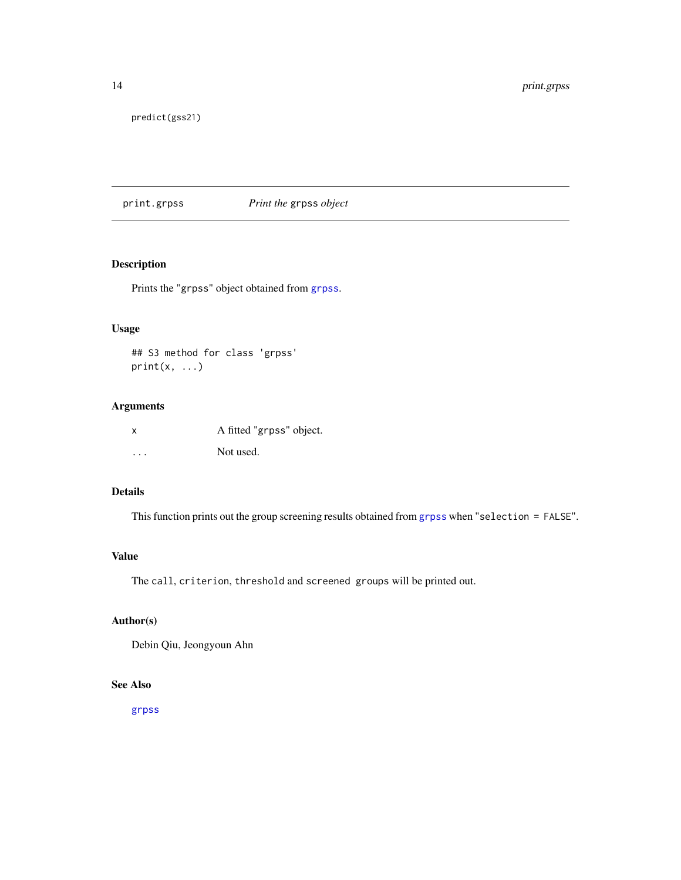<span id="page-13-0"></span>14 print.grpss

predict(gss21)

print.grpss *Print the* grpss *object*

#### Description

Prints the "grpss" object obtained from [grpss](#page-4-1).

#### Usage

```
## S3 method for class 'grpss'
print(x, \ldots)
```
#### Arguments

| X.      | A fitted "grpss" object. |
|---------|--------------------------|
| $\cdot$ | Not used.                |

#### Details

This function prints out the group screening results obtained from [grpss](#page-4-1) when "selection = FALSE".

#### Value

The call, criterion, threshold and screened groups will be printed out.

#### Author(s)

Debin Qiu, Jeongyoun Ahn

#### See Also

[grpss](#page-4-1)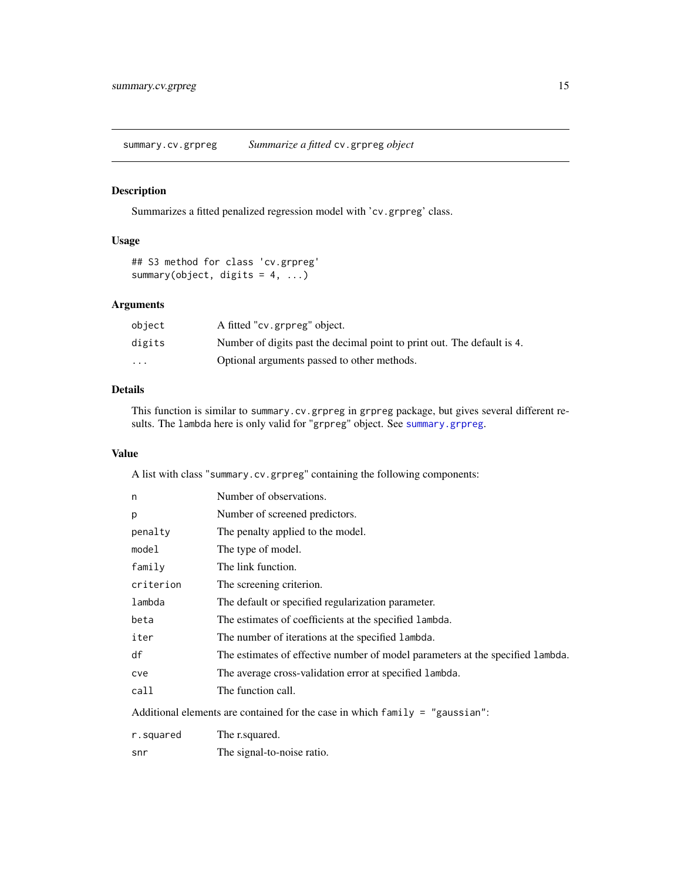<span id="page-14-1"></span><span id="page-14-0"></span>summary.cv.grpreg *Summarize a fitted* cv.grpreg *object*

#### Description

Summarizes a fitted penalized regression model with 'cv.grpreg' class.

#### Usage

```
## S3 method for class 'cv.grpreg'
summary(object, digits = 4, ...)
```
#### Arguments

| object | A fitted "cv.grpreg" object.                                            |
|--------|-------------------------------------------------------------------------|
| digits | Number of digits past the decimal point to print out. The default is 4. |
| .      | Optional arguments passed to other methods.                             |

#### Details

This function is similar to summary.cv.grpreg in grpreg package, but gives several different results. The lambda here is only valid for "grpreg" object. See [summary.grpreg](#page-15-1).

#### Value

A list with class "summary.cv.grpreg" containing the following components:

| n                                                                              | Number of observations.                                                        |  |
|--------------------------------------------------------------------------------|--------------------------------------------------------------------------------|--|
| p                                                                              | Number of screened predictors.                                                 |  |
| penalty                                                                        | The penalty applied to the model.                                              |  |
| model                                                                          | The type of model.                                                             |  |
| family                                                                         | The link function.                                                             |  |
| criterion                                                                      | The screening criterion.                                                       |  |
| lambda                                                                         | The default or specified regularization parameter.                             |  |
| beta                                                                           | The estimates of coefficients at the specified lambda.                         |  |
| iter                                                                           | The number of iterations at the specified lambda.                              |  |
| df                                                                             | The estimates of effective number of model parameters at the specified lambda. |  |
| cve                                                                            | The average cross-validation error at specified lambda.                        |  |
| call                                                                           | The function call.                                                             |  |
| Additional elements are contained for the case in which $family = "gaussian":$ |                                                                                |  |
| r.squared                                                                      | The r.squared.                                                                 |  |
| snr                                                                            | The signal-to-noise ratio.                                                     |  |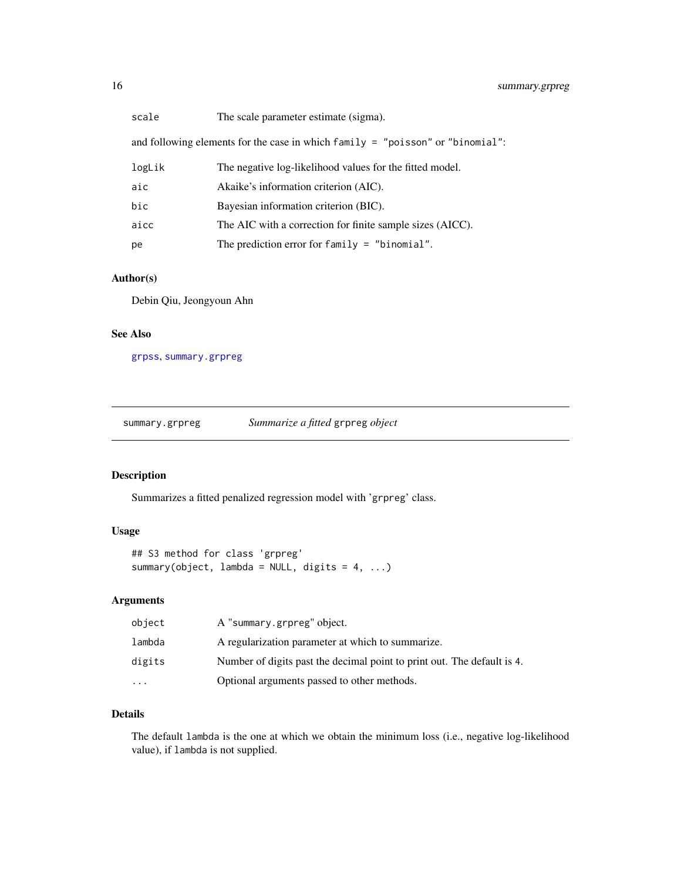<span id="page-15-0"></span>

and following elements for the case in which family = "poisson" or "binomial":

| logLik | The negative log-likelihood values for the fitted model.  |
|--------|-----------------------------------------------------------|
| aic    | Akaike's information criterion (AIC).                     |
| bic    | Bayesian information criterion (BIC).                     |
| aicc   | The AIC with a correction for finite sample sizes (AICC). |
| рe     | The prediction error for family $=$ "binomial".           |

#### Author(s)

Debin Qiu, Jeongyoun Ahn

#### See Also

[grpss](#page-4-1), [summary.grpreg](#page-15-1)

<span id="page-15-1"></span>summary.grpreg *Summarize a fitted* grpreg *object*

#### Description

Summarizes a fitted penalized regression model with 'grpreg' class.

#### Usage

```
## S3 method for class 'grpreg'
summary(object, lambda = NULL, digits = 4, ...)
```
#### Arguments

| object    | A "summary.grpreg" object.                                              |
|-----------|-------------------------------------------------------------------------|
| lambda    | A regularization parameter at which to summarize.                       |
| digits    | Number of digits past the decimal point to print out. The default is 4. |
| $\ddotsc$ | Optional arguments passed to other methods.                             |

#### Details

The default lambda is the one at which we obtain the minimum loss (i.e., negative log-likelihood value), if lambda is not supplied.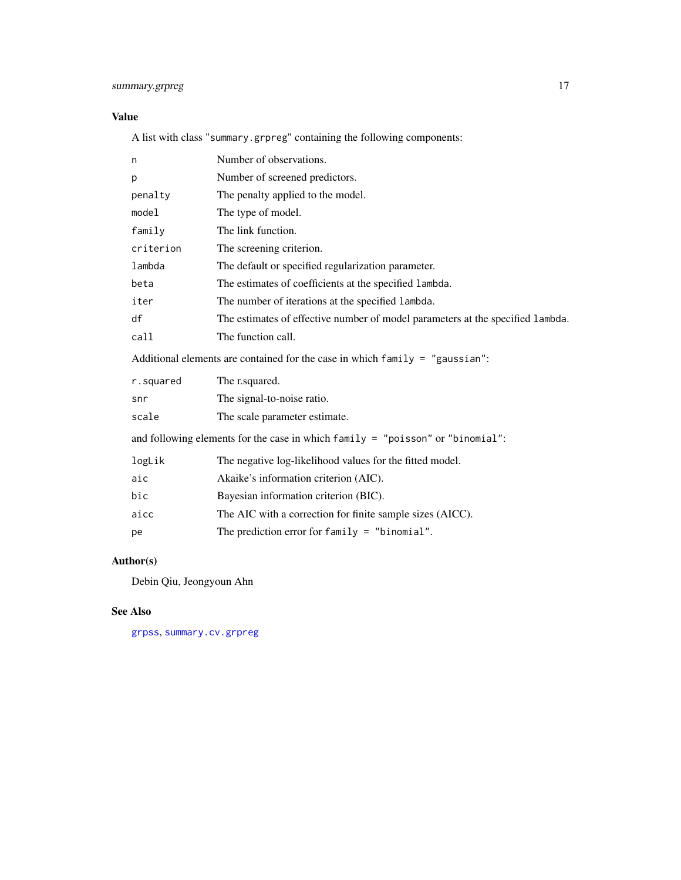#### <span id="page-16-0"></span>summary.grpreg 17

#### Value

A list with class "summary.grpreg" containing the following components:

| n                                                                               | Number of observations.                                                          |  |
|---------------------------------------------------------------------------------|----------------------------------------------------------------------------------|--|
| р                                                                               | Number of screened predictors.                                                   |  |
| penalty                                                                         | The penalty applied to the model.                                                |  |
| model                                                                           | The type of model.                                                               |  |
| family                                                                          | The link function.                                                               |  |
| criterion                                                                       | The screening criterion.                                                         |  |
| lambda                                                                          | The default or specified regularization parameter.                               |  |
| beta                                                                            | The estimates of coefficients at the specified lambda.                           |  |
| iter                                                                            | The number of iterations at the specified lambda.                                |  |
| df                                                                              | The estimates of effective number of model parameters at the specified lambda.   |  |
| call                                                                            | The function call.                                                               |  |
| Additional elements are contained for the case in which $f$ amily = "gaussian": |                                                                                  |  |
|                                                                                 |                                                                                  |  |
| r.squared                                                                       | The r.squared.                                                                   |  |
| snr                                                                             | The signal-to-noise ratio.                                                       |  |
| scale                                                                           | The scale parameter estimate.                                                    |  |
|                                                                                 | and following elements for the case in which family $=$ "poisson" or "binomial": |  |
| logLik                                                                          | The negative log-likelihood values for the fitted model.                         |  |
| aic                                                                             | Akaike's information criterion (AIC).                                            |  |
| bic                                                                             | Bayesian information criterion (BIC).                                            |  |
| aicc                                                                            | The AIC with a correction for finite sample sizes (AICC).                        |  |

#### Author(s)

Debin Qiu, Jeongyoun Ahn

#### See Also

[grpss](#page-4-1), [summary.cv.grpreg](#page-14-1)